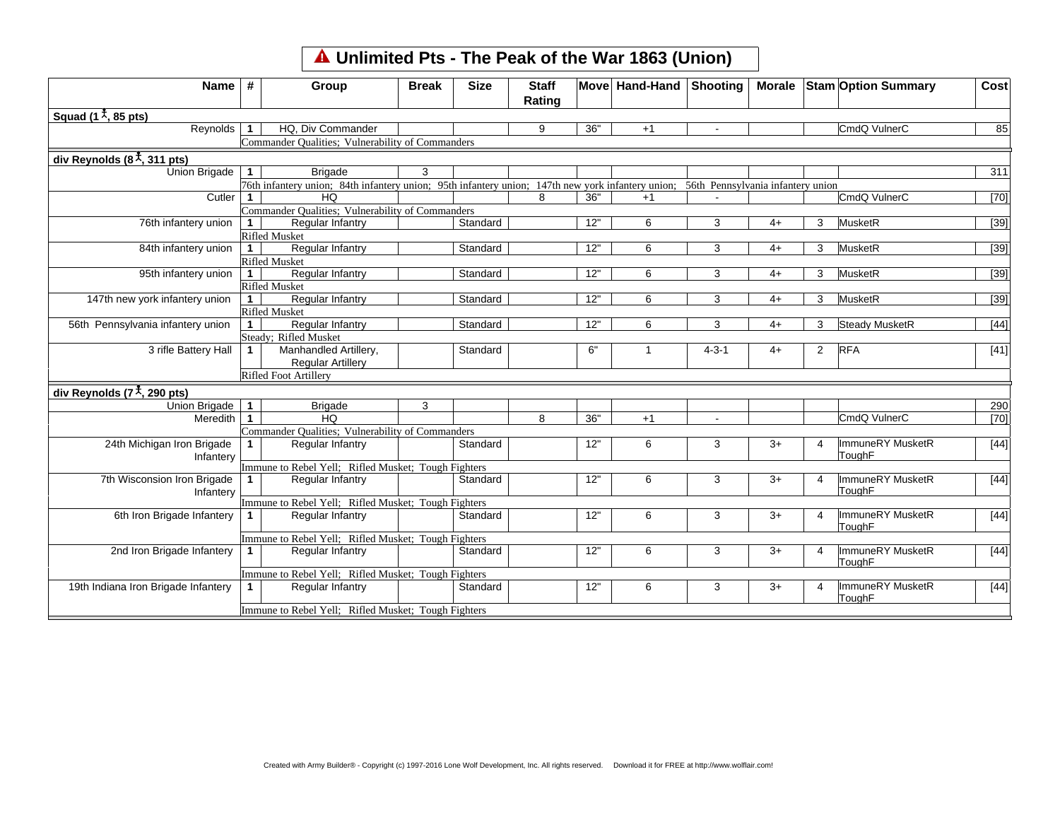## **Unlimited Pts - The Peak of the War 1863 (Union)**

| Name                                                 | #              | Group                                                                                                                               | <b>Break</b> | <b>Size</b> | <b>Staff</b><br>Rating |     | Move Hand-Hand Shooting |             |      |                | Morale Stam Option Summary | Cost   |
|------------------------------------------------------|----------------|-------------------------------------------------------------------------------------------------------------------------------------|--------------|-------------|------------------------|-----|-------------------------|-------------|------|----------------|----------------------------|--------|
| Squad (1 $\frac{1}{2}$ , 85 pts)                     |                |                                                                                                                                     |              |             |                        |     |                         |             |      |                |                            |        |
| Reynolds                                             | $\mathbf{1}$   | HQ. Div Commander                                                                                                                   |              |             | 9                      | 36" | $+1$                    |             |      |                | CmdQ VulnerC               | 85     |
|                                                      |                | Commander Qualities; Vulnerability of Commanders                                                                                    |              |             |                        |     |                         |             |      |                |                            |        |
| div Reynolds $(8\frac{1}{\lambda}, 311 \text{ pts})$ |                |                                                                                                                                     |              |             |                        |     |                         |             |      |                |                            |        |
| Union Brigade                                        | $\mathbf 1$    | <b>Brigade</b>                                                                                                                      | 3            |             |                        |     |                         |             |      |                |                            | 311    |
|                                                      |                | 76th infantery union; 84th infantery union; 95th infantery union; 147th new york infantery union; 56th Pennsylvania infantery union |              |             |                        |     |                         |             |      |                |                            |        |
| Cutler                                               | $\mathbf{1}$   | HQ                                                                                                                                  |              |             | 8                      | 36" | $+1$                    |             |      |                | CmdQ VulnerC               | $[70]$ |
|                                                      |                | Commander Qualities; Vulnerability of Commanders                                                                                    |              |             |                        |     |                         |             |      |                |                            |        |
| 76th infantery union                                 | $\mathbf{1}$   | Regular Infantry                                                                                                                    |              | Standard    |                        | 12" | 6                       | 3           | $4+$ | 3              | MusketR                    | $[39]$ |
|                                                      |                | <b>Rifled Musket</b>                                                                                                                |              |             |                        |     |                         |             |      |                |                            |        |
| 84th infantery union                                 | $\overline{1}$ | Regular Infantry                                                                                                                    |              | Standard    |                        | 12" | 6                       | 3           | 4+   | 3              | MusketR                    | $[39]$ |
|                                                      |                | <b>Rifled Musket</b>                                                                                                                |              |             |                        |     |                         |             |      |                |                            |        |
| 95th infantery union                                 | $\mathbf{1}$   | Regular Infantry                                                                                                                    |              | Standard    |                        | 12" | 6                       | 3           | $4+$ | 3              | MusketR                    | $[39]$ |
|                                                      |                | <b>Rifled Musket</b>                                                                                                                |              |             |                        |     |                         |             |      |                |                            |        |
| 147th new york infantery union                       | $\mathbf{1}$   | Regular Infantry                                                                                                                    |              | Standard    |                        | 12" | 6                       | 3           | $4+$ | 3              | MusketR                    | $[39]$ |
|                                                      |                | <b>Rifled Musket</b>                                                                                                                |              |             |                        |     |                         |             |      |                |                            |        |
| 56th Pennsylvania infantery union                    | $\mathbf{1}$   | Regular Infantry                                                                                                                    |              | Standard    |                        | 12" | 6                       | 3           | $4+$ | 3              | Steady MusketR             | $[44]$ |
|                                                      |                | Steady; Rifled Musket                                                                                                               |              |             |                        |     |                         |             |      |                |                            |        |
| 3 rifle Battery Hall                                 | $\mathbf{1}$   | Manhandled Artillery,                                                                                                               |              | Standard    |                        | 6"  | $\mathbf 1$             | $4 - 3 - 1$ | 4+   | $\overline{2}$ | <b>RFA</b>                 | $[41]$ |
|                                                      |                | <b>Regular Artillery</b>                                                                                                            |              |             |                        |     |                         |             |      |                |                            |        |
|                                                      |                | Rifled Foot Artillery                                                                                                               |              |             |                        |     |                         |             |      |                |                            |        |
| div Reynolds (7 $\frac{1}{\lambda}$ , 290 pts)       |                |                                                                                                                                     |              |             |                        |     |                         |             |      |                |                            |        |
| Union Brigade                                        | $\mathbf{1}$   | <b>Brigade</b>                                                                                                                      | 3            |             |                        |     |                         |             |      |                |                            | 290    |
| Meredith 1                                           |                | <b>HQ</b>                                                                                                                           |              |             | 8                      | 36" | $+1$                    |             |      |                | CmdQ VulnerC               | $[70]$ |
|                                                      |                | Commander Qualities; Vulnerability of Commanders                                                                                    |              |             |                        |     |                         |             |      |                |                            |        |
| 24th Michigan Iron Brigade<br>Infantery              | 1.             | Regular Infantry                                                                                                                    |              | Standard    |                        | 12" | 6                       | 3           | $3+$ | 4              | ImmuneRY MusketR<br>ToughF | $[44]$ |
|                                                      |                | Immune to Rebel Yell; Rifled Musket; Tough Fighters                                                                                 |              |             |                        |     |                         |             |      |                |                            |        |
| 7th Wisconsion Iron Brigade<br>Infantery             | $\mathbf{1}$   | Regular Infantry                                                                                                                    |              | Standard    |                        | 12" | 6                       | 3           | $3+$ | 4              | ImmuneRY MusketR<br>ToughF | $[44]$ |
|                                                      |                | Immune to Rebel Yell; Rifled Musket; Tough Fighters                                                                                 |              |             |                        |     |                         |             |      |                |                            |        |
| 6th Iron Brigade Infantery                           | 1              | Regular Infantry                                                                                                                    |              | Standard    |                        | 12" | 6                       | 3           | $3+$ | 4              | ImmuneRY MusketR<br>ToughF | $[44]$ |
|                                                      |                | Immune to Rebel Yell; Rifled Musket; Tough Fighters                                                                                 |              |             |                        |     |                         |             |      |                |                            |        |
| 2nd Iron Brigade Infantery                           | $\mathbf 1$    | Regular Infantry                                                                                                                    |              | Standard    |                        | 12" | 6                       | 3           | $3+$ | 4              | ImmuneRY MusketR<br>ToughF | $[44]$ |
|                                                      |                | Immune to Rebel Yell; Rifled Musket; Tough Fighters                                                                                 |              |             |                        |     |                         |             |      |                |                            |        |
| 19th Indiana Iron Brigade Infantery                  | 1              | Regular Infantry                                                                                                                    |              | Standard    |                        | 12" | 6                       | 3           | 3+   | 4              | ImmuneRY MusketR<br>ToughF | $[44]$ |
|                                                      |                | Immune to Rebel Yell; Rifled Musket; Tough Fighters                                                                                 |              |             |                        |     |                         |             |      |                |                            |        |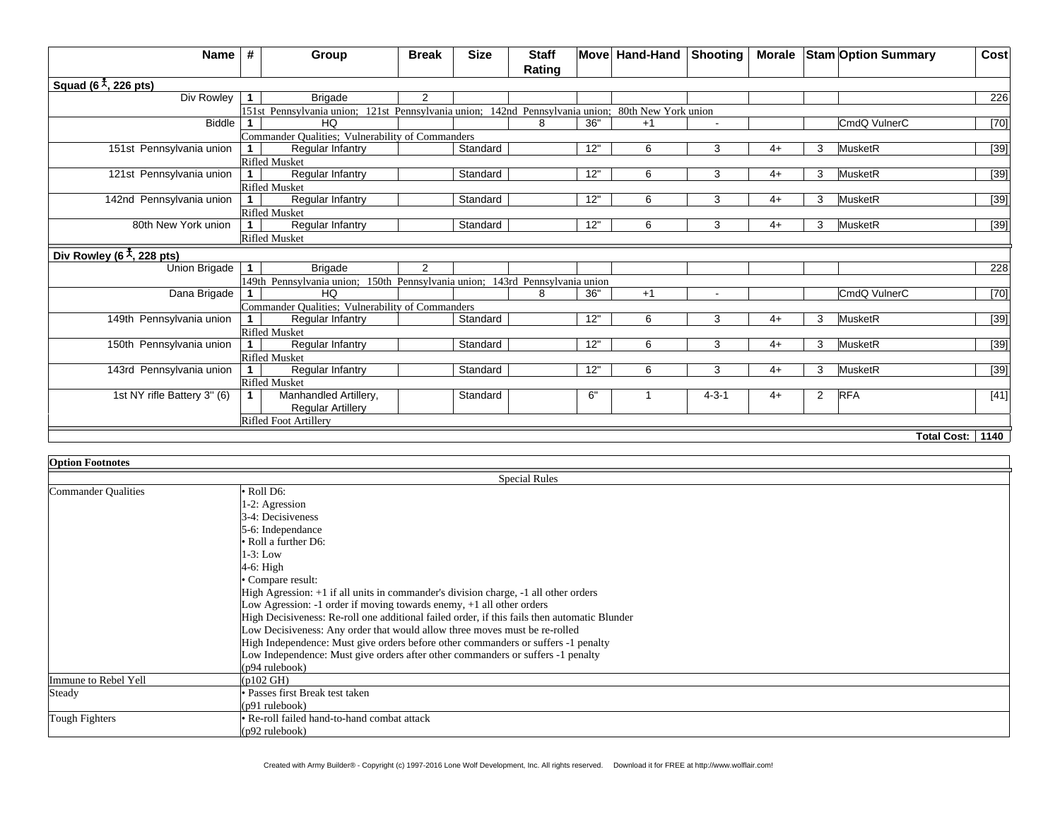| Name                                                         | #            | Group                                                                                             | <b>Break</b>   | <b>Size</b> | <b>Staff</b> |     | Move Hand-Hand Shooting |             |      |   | Morale Stam Option Summary | Cost               |
|--------------------------------------------------------------|--------------|---------------------------------------------------------------------------------------------------|----------------|-------------|--------------|-----|-------------------------|-------------|------|---|----------------------------|--------------------|
|                                                              |              |                                                                                                   |                |             | Rating       |     |                         |             |      |   |                            |                    |
| Squad (6 $\frac{1}{\lambda}$ , 226 pts)                      |              |                                                                                                   |                |             |              |     |                         |             |      |   |                            |                    |
| Div Rowley                                                   | 1            | <b>Brigade</b>                                                                                    | $\overline{2}$ |             |              |     |                         |             |      |   |                            | 226                |
|                                                              |              | 151st Pennsylvania union; 121st Pennsylvania union; 142nd Pennsylvania union; 80th New York union |                |             |              |     |                         |             |      |   |                            |                    |
| <b>Biddle</b>                                                |              | HQ                                                                                                |                |             | R            | 36" | $+1$                    |             |      |   | CmdQ VulnerC               | $[70]$             |
|                                                              |              | Commander Qualities; Vulnerability of Commanders                                                  |                |             |              |     |                         |             |      |   |                            |                    |
| 151st Pennsylvania union                                     |              | Regular Infantry                                                                                  |                | Standard    |              | 12" | 6                       | 3           | $4+$ | 3 | MusketR                    | $[39]$             |
|                                                              |              | <b>Rifled Musket</b>                                                                              |                |             |              |     |                         |             |      |   |                            |                    |
| 121st Pennsylvania union                                     | $\mathbf{1}$ | Regular Infantry                                                                                  |                | Standard    |              | 12" | 6                       | 3           | $4+$ | 3 | MusketR                    | $[39]$             |
|                                                              |              | <b>Rifled Musket</b>                                                                              |                |             |              |     |                         |             |      |   |                            |                    |
| 142nd Pennsylvania union                                     | $\mathbf{1}$ | <b>Regular Infantry</b>                                                                           |                | Standard    |              | 12" | 6                       | 3           | $4+$ | 3 | MusketR                    | $[39]$             |
|                                                              |              | <b>Rifled Musket</b>                                                                              |                |             |              |     |                         |             |      |   |                            |                    |
| 80th New York union                                          | $\mathbf{1}$ | Regular Infantry                                                                                  |                | Standard    |              | 12" | 6                       | 3           | $4+$ | 3 | MusketR                    | $[39]$             |
|                                                              |              | <b>Rifled Musket</b>                                                                              |                |             |              |     |                         |             |      |   |                            |                    |
| Div Rowley (6 <sup><math>\frac{4}{3}</math></sup> , 228 pts) |              |                                                                                                   |                |             |              |     |                         |             |      |   |                            |                    |
| Union Brigade                                                | $\mathbf{1}$ | <b>Brigade</b>                                                                                    | 2              |             |              |     |                         |             |      |   |                            | 228                |
|                                                              |              | 149th Pennsylvania union; 150th Pennsylvania union; 143rd Pennsylvania union                      |                |             |              |     |                         |             |      |   |                            |                    |
| Dana Brigade                                                 |              | HQ                                                                                                |                |             | R            | 36" | $+1$                    |             |      |   | CmdQ VulnerC               | $[70]$             |
|                                                              |              | Commander Qualities; Vulnerability of Commanders                                                  |                |             |              |     |                         |             |      |   |                            |                    |
| 149th Pennsylvania union                                     | $\mathbf 1$  | Regular Infantry                                                                                  |                | Standard    |              | 12" | 6                       | 3           | $4+$ | 3 | MusketR                    | $[39]$             |
|                                                              |              | <b>Rifled Musket</b>                                                                              |                |             |              |     |                         |             |      |   |                            |                    |
| 150th Pennsylvania union                                     | $\mathbf 1$  | Regular Infantry                                                                                  |                | Standard    |              | 12" | 6                       | 3           | $4+$ | 3 | MusketR                    | $[39]$             |
|                                                              |              | <b>Rifled Musket</b>                                                                              |                |             |              |     |                         |             |      |   |                            |                    |
| 143rd Pennsylvania union                                     | $\mathbf{1}$ | Regular Infantry                                                                                  |                | Standard    |              | 12" | 6                       | 3           | $4+$ | 3 | MusketR                    | $[39]$             |
|                                                              |              | <b>Rifled Musket</b>                                                                              |                |             |              |     |                         |             |      |   |                            |                    |
| 1st NY rifle Battery 3" (6)                                  |              | Manhandled Artillery,                                                                             |                | Standard    |              | 6"  |                         | $4 - 3 - 1$ | $4+$ | 2 | <b>RFA</b>                 | $[41]$             |
|                                                              |              | <b>Regular Artillery</b>                                                                          |                |             |              |     |                         |             |      |   |                            |                    |
|                                                              |              | Rifled Foot Artillery                                                                             |                |             |              |     |                         |             |      |   |                            |                    |
|                                                              |              |                                                                                                   |                |             |              |     |                         |             |      |   |                            | Total Cost:   1140 |

| <b>Option Footnotes</b> |                                                                                              |  |  |  |  |
|-------------------------|----------------------------------------------------------------------------------------------|--|--|--|--|
|                         | <b>Special Rules</b>                                                                         |  |  |  |  |
| Commander Qualities     | $\bullet$ Roll D6:                                                                           |  |  |  |  |
|                         | 1-2: Agression                                                                               |  |  |  |  |
|                         | 3-4: Decisiveness                                                                            |  |  |  |  |
|                         | 5-6: Independance                                                                            |  |  |  |  |
|                         | $\bullet$ Roll a further D6:                                                                 |  |  |  |  |
|                         | $1-3$ : Low                                                                                  |  |  |  |  |
|                         | 4-6: High                                                                                    |  |  |  |  |
|                         | • Compare result:                                                                            |  |  |  |  |
|                         | High Agression: +1 if all units in commander's division charge, -1 all other orders          |  |  |  |  |
|                         | Low Agression: -1 order if moving towards enemy, $+1$ all other orders                       |  |  |  |  |
|                         | High Decisiveness: Re-roll one additional failed order, if this fails then automatic Blunder |  |  |  |  |
|                         | Low Decisiveness: Any order that would allow three moves must be re-rolled                   |  |  |  |  |
|                         | High Independence: Must give orders before other commanders or suffers -1 penalty            |  |  |  |  |
|                         | Low Independence: Must give orders after other commanders or suffers -1 penalty              |  |  |  |  |
|                         | $(p94 \text{ rulebook})$                                                                     |  |  |  |  |
| Immune to Rebel Yell    | $(p102 \text{ GHz})$                                                                         |  |  |  |  |
| Steady                  | • Passes first Break test taken                                                              |  |  |  |  |
|                         | $(p91$ rulebook)                                                                             |  |  |  |  |
| Tough Fighters          | · Re-roll failed hand-to-hand combat attack                                                  |  |  |  |  |
|                         | $(p92 \text{ rulebook})$                                                                     |  |  |  |  |